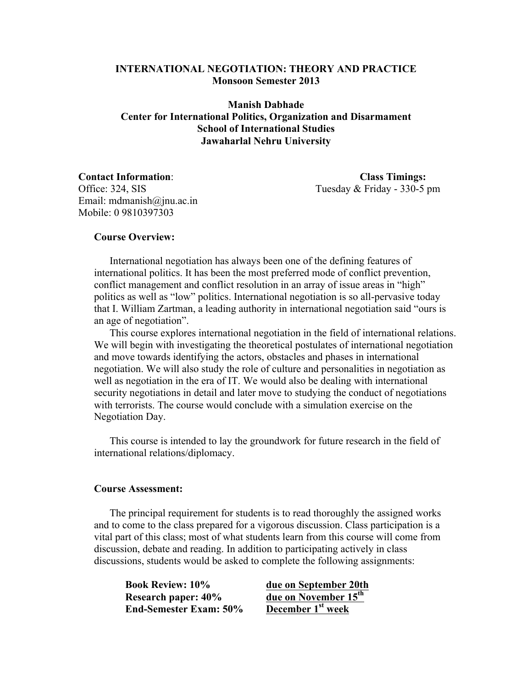# **INTERNATIONAL NEGOTIATION: THEORY AND PRACTICE Monsoon Semester 2013**

**Manish Dabhade Center for International Politics, Organization and Disarmament School of International Studies Jawaharlal Nehru University**

**Contact Information**: **Class Timings:** Office: 324, SIS Tuesday & Friday - 330-5 pm

Email: mdmanish@jnu.ac.in Mobile: 0 9810397303

#### **Course Overview:**

International negotiation has always been one of the defining features of international politics. It has been the most preferred mode of conflict prevention, conflict management and conflict resolution in an array of issue areas in "high" politics as well as "low" politics. International negotiation is so all-pervasive today that I. William Zartman, a leading authority in international negotiation said "ours is an age of negotiation".

This course explores international negotiation in the field of international relations. We will begin with investigating the theoretical postulates of international negotiation and move towards identifying the actors, obstacles and phases in international negotiation. We will also study the role of culture and personalities in negotiation as well as negotiation in the era of IT. We would also be dealing with international security negotiations in detail and later move to studying the conduct of negotiations with terrorists. The course would conclude with a simulation exercise on the Negotiation Day.

This course is intended to lay the groundwork for future research in the field of international relations/diplomacy.

#### **Course Assessment:**

The principal requirement for students is to read thoroughly the assigned works and to come to the class prepared for a vigorous discussion. Class participation is a vital part of this class; most of what students learn from this course will come from discussion, debate and reading. In addition to participating actively in class discussions, students would be asked to complete the following assignments:

**Book Review: 10% due on September 20th Research paper: 40% due on November 15<sup>th</sup><br>End-Semester Exam: 50% December 1<sup>st</sup> week End-Semester Exam: 50%**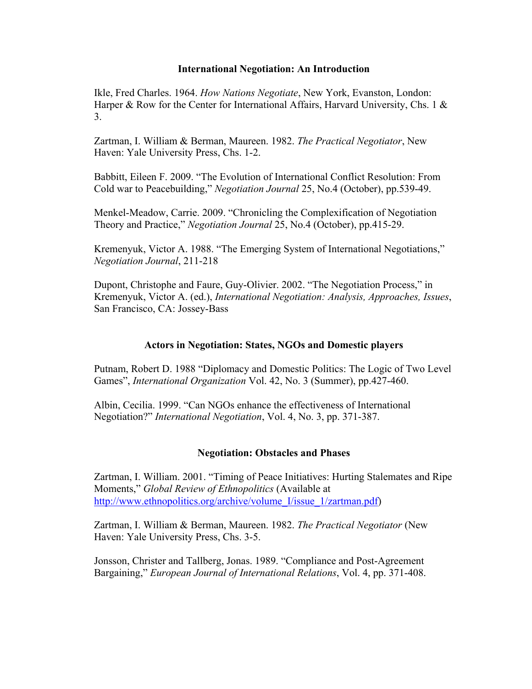## **International Negotiation: An Introduction**

Ikle, Fred Charles. 1964. *How Nations Negotiate*, New York, Evanston, London: Harper & Row for the Center for International Affairs, Harvard University, Chs. 1 & 3.

Zartman, I. William & Berman, Maureen. 1982. *The Practical Negotiator*, New Haven: Yale University Press, Chs. 1-2.

Babbitt, Eileen F. 2009. "The Evolution of International Conflict Resolution: From Cold war to Peacebuilding," *Negotiation Journal* 25, No.4 (October), pp.539-49.

Menkel-Meadow, Carrie. 2009. "Chronicling the Complexification of Negotiation Theory and Practice," *Negotiation Journal* 25, No.4 (October), pp.415-29.

Kremenyuk, Victor A. 1988. "The Emerging System of International Negotiations," *Negotiation Journal*, 211-218

Dupont, Christophe and Faure, Guy-Olivier. 2002. "The Negotiation Process," in Kremenyuk, Victor A. (ed.), *International Negotiation: Analysis, Approaches, Issues*, San Francisco, CA: Jossey-Bass

# **Actors in Negotiation: States, NGOs and Domestic players**

Putnam, Robert D. 1988 "Diplomacy and Domestic Politics: The Logic of Two Level Games", *International Organization* Vol. 42, No. 3 (Summer), pp.427-460.

Albin, Cecilia. 1999. "Can NGOs enhance the effectiveness of International Negotiation?" *International Negotiation*, Vol. 4, No. 3, pp. 371-387.

# **Negotiation: Obstacles and Phases**

Zartman, I. William. 2001. "Timing of Peace Initiatives: Hurting Stalemates and Ripe Moments," *Global Review of Ethnopolitics* (Available at http://www.ethnopolitics.org/archive/volume\_I/issue\_1/zartman.pdf)

Zartman, I. William & Berman, Maureen. 1982. *The Practical Negotiator* (New Haven: Yale University Press, Chs. 3-5.

Jonsson, Christer and Tallberg, Jonas. 1989. "Compliance and Post-Agreement Bargaining," *European Journal of International Relations*, Vol. 4, pp. 371-408.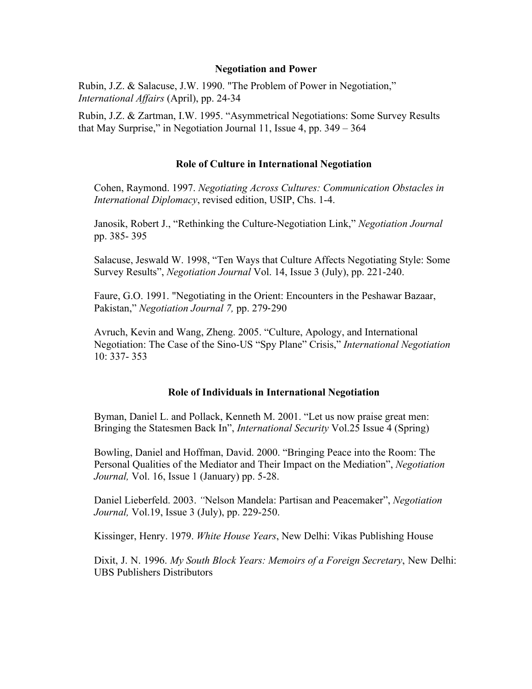#### **Negotiation and Power**

Rubin, J.Z. & Salacuse, J.W. 1990. "The Problem of Power in Negotiation," *International Affairs* (April), pp. 24-34

Rubin, J.Z. & Zartman, I.W. 1995. "Asymmetrical Negotiations: Some Survey Results that May Surprise," in Negotiation Journal 11, Issue 4, pp. 349 – 364

## **Role of Culture in International Negotiation**

Cohen, Raymond. 1997. *Negotiating Across Cultures: Communication Obstacles in International Diplomacy*, revised edition, USIP, Chs. 1-4.

Janosik, Robert J., "Rethinking the Culture-Negotiation Link," *Negotiation Journal* pp. 385- 395

Salacuse, Jeswald W. 1998, "Ten Ways that Culture Affects Negotiating Style: Some Survey Results", *Negotiation Journal* Vol. 14, Issue 3 (July), pp. 221-240.

Faure, G.O. 1991. "Negotiating in the Orient: Encounters in the Peshawar Bazaar, Pakistan," *Negotiation Journal 7,* pp. 279-290

Avruch, Kevin and Wang, Zheng. 2005. "Culture, Apology, and International Negotiation: The Case of the Sino-US "Spy Plane" Crisis," *International Negotiation* 10: 337- 353

# **Role of Individuals in International Negotiation**

Byman, Daniel L. and Pollack, Kenneth M. 2001. "Let us now praise great men: Bringing the Statesmen Back In", *International Security* Vol.25 Issue 4 (Spring)

Bowling, Daniel and Hoffman, David. 2000. "Bringing Peace into the Room: The Personal Qualities of the Mediator and Their Impact on the Mediation", *Negotiation Journal,* Vol. 16, Issue 1 (January) pp. 5-28.

Daniel Lieberfeld. 2003. *"*Nelson Mandela: Partisan and Peacemaker", *Negotiation Journal,* Vol.19, Issue 3 (July), pp. 229-250.

Kissinger, Henry. 1979. *White House Years*, New Delhi: Vikas Publishing House

Dixit, J. N. 1996. *My South Block Years: Memoirs of a Foreign Secretary*, New Delhi: UBS Publishers Distributors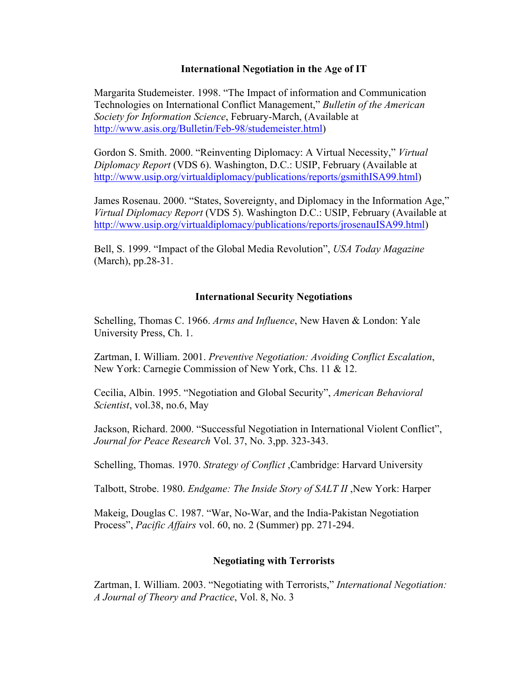## **International Negotiation in the Age of IT**

Margarita Studemeister. 1998. "The Impact of information and Communication Technologies on International Conflict Management," *Bulletin of the American Society for Information Science*, February-March, (Available at http://www.asis.org/Bulletin/Feb-98/studemeister.html)

Gordon S. Smith. 2000. "Reinventing Diplomacy: A Virtual Necessity," *Virtual Diplomacy Report* (VDS 6). Washington, D.C.: USIP, February (Available at http://www.usip.org/virtualdiplomacy/publications/reports/gsmithISA99.html)

James Rosenau. 2000. "States, Sovereignty, and Diplomacy in the Information Age," *Virtual Diplomacy Report* (VDS 5). Washington D.C.: USIP, February (Available at http://www.usip.org/virtualdiplomacy/publications/reports/jrosenauISA99.html)

Bell, S. 1999. "Impact of the Global Media Revolution", *USA Today Magazine* (March), pp.28-31.

## **International Security Negotiations**

Schelling, Thomas C. 1966. *Arms and Influence*, New Haven & London: Yale University Press, Ch. 1.

Zartman, I. William. 2001. *Preventive Negotiation: Avoiding Conflict Escalation*, New York: Carnegie Commission of New York, Chs. 11 & 12.

Cecilia, Albin. 1995. "Negotiation and Global Security", *American Behavioral Scientist*, vol.38, no.6, May

Jackson, Richard. 2000. "Successful Negotiation in International Violent Conflict", *Journal for Peace Research* Vol. 37, No. 3,pp. 323-343.

Schelling, Thomas. 1970. *Strategy of Conflict* ,Cambridge: Harvard University

Talbott, Strobe. 1980. *Endgame: The Inside Story of SALT II* ,New York: Harper

Makeig, Douglas C. 1987. "War, No-War, and the India-Pakistan Negotiation Process", *Pacific Affairs* vol. 60, no. 2 (Summer) pp. 271-294.

# **Negotiating with Terrorists**

Zartman, I. William. 2003. "Negotiating with Terrorists," *International Negotiation: A Journal of Theory and Practice*, Vol. 8, No. 3